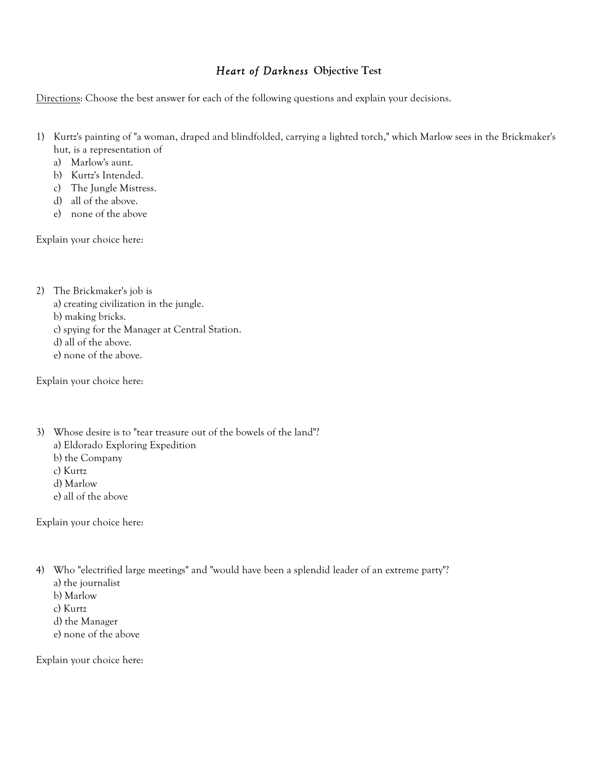## *Heart of Darkness* **Objective Test**

Directions: Choose the best answer for each of the following questions and explain your decisions.

- 1) Kurtz's painting of "a woman, draped and blindfolded, carrying a lighted torch," which Marlow sees in the Brickmaker's hut, is a representation of
	- a) Marlow's aunt.
	- b) Kurtz's Intended.
	- c) The Jungle Mistress.
	- d) all of the above.
	- e) none of the above

Explain your choice here:

- 2) The Brickmaker's job is
	- a) creating civilization in the jungle.
	- b) making bricks.
	- c) spying for the Manager at Central Station.
	- d) all of the above.
	- e) none of the above.

Explain your choice here:

- 3) Whose desire is to "tear treasure out of the bowels of the land"?
	- a) Eldorado Exploring Expedition
	- b) the Company
	- c) Kurtz
	- d) Marlow
	- e) all of the above

Explain your choice here:

- 4) Who "electrified large meetings" and "would have been a splendid leader of an extreme party"?
	- a) the journalist
	- b) Marlow
	- c) Kurtz
	- d) the Manager
	- e) none of the above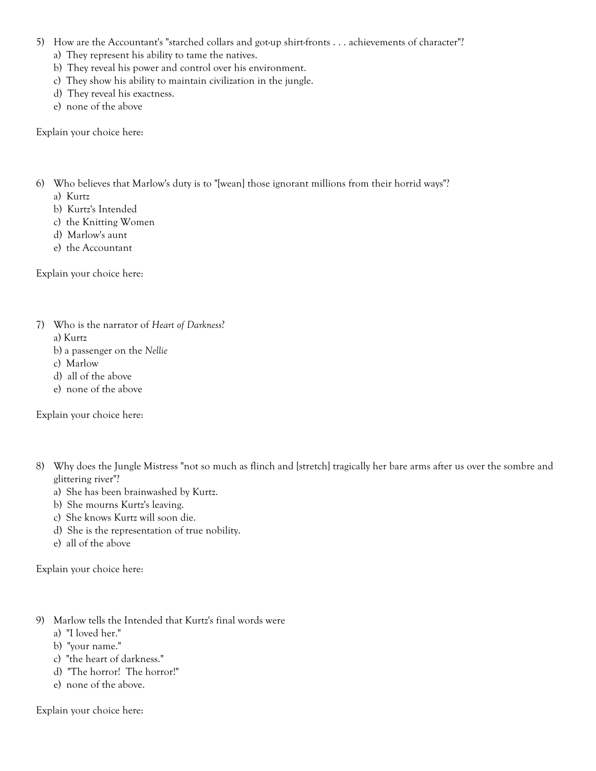- 5) How are the Accountant's "starched collars and got-up shirt-fronts . . . achievements of character"?
	- a) They represent his ability to tame the natives.
	- b) They reveal his power and control over his environment.
	- c) They show his ability to maintain civilization in the jungle.
	- d) They reveal his exactness.
	- e) none of the above

Explain your choice here:

- 6) Who believes that Marlow's duty is to "[wean] those ignorant millions from their horrid ways"?
	- a) Kurtz
	- b) Kurtz's Intended
	- c) the Knitting Women
	- d) Marlow's aunt
	- e) the Accountant

Explain your choice here:

- 7) Who is the narrator of *Heart of Darkness*?
	- a) Kurtz
	- b) a passenger on the *Nellie*
	- c) Marlow
	- d) all of the above
	- e) none of the above

Explain your choice here:

- 8) Why does the Jungle Mistress "not so much as flinch and [stretch] tragically her bare arms after us over the sombre and glittering river"?
	- a) She has been brainwashed by Kurtz.
	- b) She mourns Kurtz's leaving.
	- c) She knows Kurtz will soon die.
	- d) She is the representation of true nobility.
	- e) all of the above

Explain your choice here:

- 9) Marlow tells the Intended that Kurtz's final words were
	- a) "I loved her."
	- b) "your name."
	- c) "the heart of darkness."
	- d) "The horror! The horror!"
	- e) none of the above.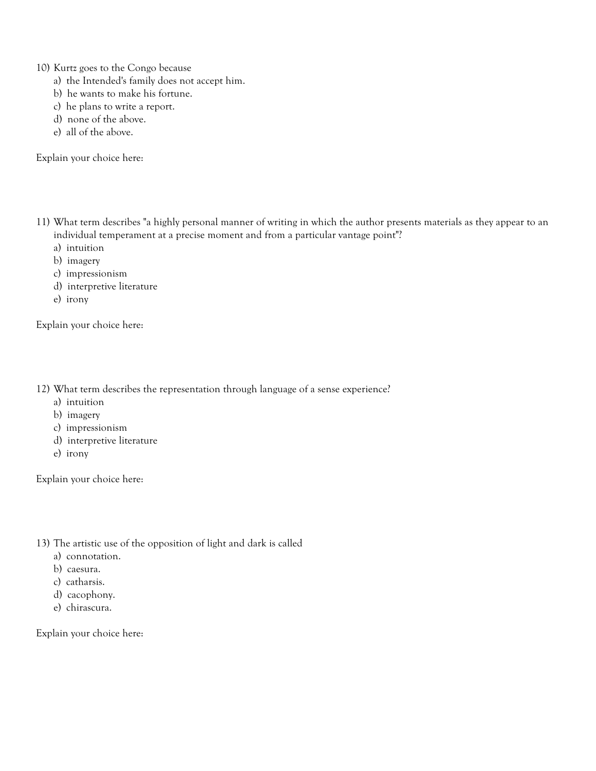10) Kurtz goes to the Congo because

- a) the Intended's family does not accept him.
- b) he wants to make his fortune.
- c) he plans to write a report.
- d) none of the above.
- e) all of the above.

Explain your choice here:

- 11) What term describes "a highly personal manner of writing in which the author presents materials as they appear to an individual temperament at a precise moment and from a particular vantage point"?
	- a) intuition
	- b) imagery
	- c) impressionism
	- d) interpretive literature
	- e) irony

Explain your choice here:

12) What term describes the representation through language of a sense experience?

- a) intuition
- b) imagery
- c) impressionism
- d) interpretive literature
- e) irony

Explain your choice here:

- 13) The artistic use of the opposition of light and dark is called
	- a) connotation.
	- b) caesura.
	- c) catharsis.
	- d) cacophony.
	- e) chirascura.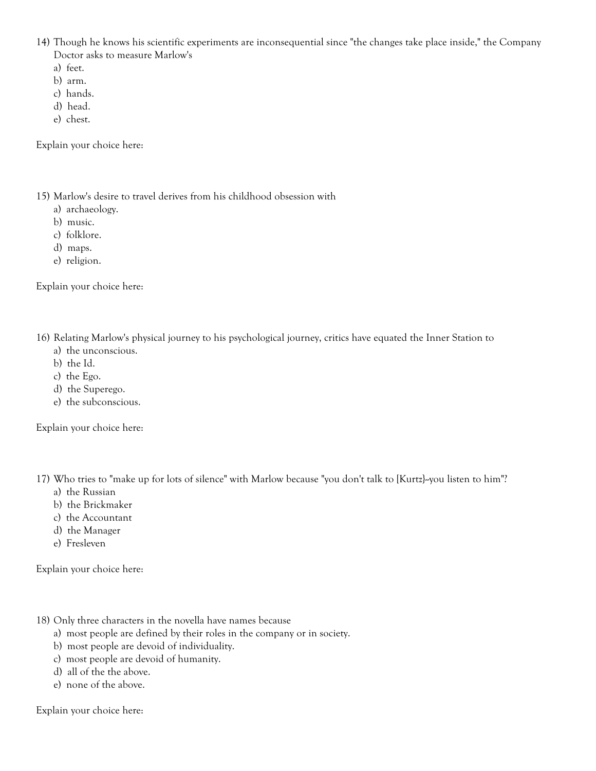14) Though he knows his scientific experiments are inconsequential since "the changes take place inside," the Company Doctor asks to measure Marlow's

- a) feet.
- b) arm.
- c) hands.
- d) head.
- e) chest.

Explain your choice here:

15) Marlow's desire to travel derives from his childhood obsession with

- a) archaeology.
- b) music.
- c) folklore.
- d) maps.
- e) religion.

Explain your choice here:

16) Relating Marlow's physical journey to his psychological journey, critics have equated the Inner Station to

- a) the unconscious.
- b) the Id.
- c) the Ego.
- d) the Superego.
- e) the subconscious.

Explain your choice here:

17) Who tries to "make up for lots of silence" with Marlow because "you don't talk to [Kurtz}--you listen to him"?

- a) the Russian
- b) the Brickmaker
- c) the Accountant
- d) the Manager
- e) Fresleven

Explain your choice here:

- 18) Only three characters in the novella have names because
	- a) most people are defined by their roles in the company or in society.
	- b) most people are devoid of individuality.
	- c) most people are devoid of humanity.
	- d) all of the the above.
	- e) none of the above.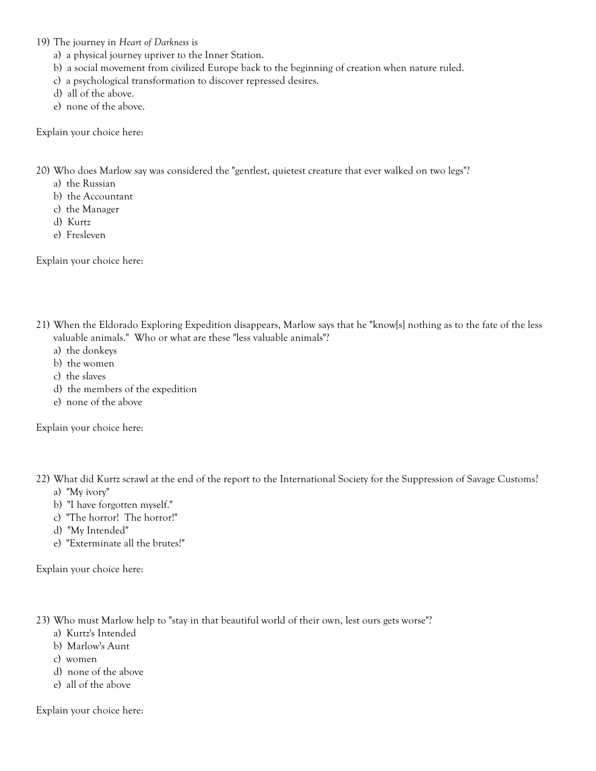19) The journey in *Heart of Darkness* is

- a) a physical journey upriver to the Inner Station.
- b) a social movement from civilized Europe back to the beginning of creation when nature ruled.
- c) a psychological transformation to discover repressed desires.
- d) all of the above.
- e) none of the above.

Explain your choice here:

20) Who does Marlow say was considered the "gentlest, quietest creature that ever walked on two legs"?

- a) the Russian
- b) the Accountant
- c) the Manager
- d) Kurtz
- e) Fresleven

Explain your choice here:

- 21) When the Eldorado Exploring Expedition disappears, Marlow says that he "know[s] nothing as to the fate of the less valuable animals." Who or what are these "less valuable animals"?
	- a) the donkeys
	- b) the women
	- c) the slaves
	- d) the members of the expedition
	- e) none of the above

Explain your choice here:

- 22) What did Kurtz scrawl at the end of the report to the International Society for the Suppression of Savage Customs? a) "My ivory"
	- b) "I have forgotten myself."
	- c) "The horror! The horror!"
	- d) "My Intended"
	- e) "Exterminate all the brutes!"

Explain your choice here:

- 23) Who must Marlow help to "stay in that beautiful world of their own, lest ours gets worse"?
	- a) Kurtz's Intended
	- b) Marlow's Aunt
	- c) women
	- d) none of the above
	- e) all of the above